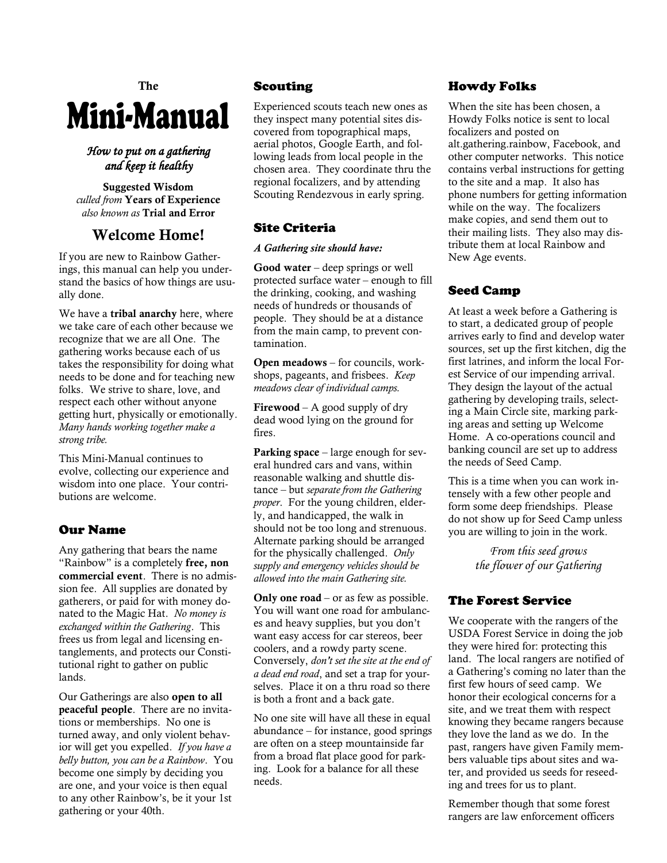# **The** Mini-Manual

## *How to put on a gathering and keep it healthy*

**Suggested Wisdom** *culled from* **Years of Experience** *also known as* **Trial and Error**

# **Welcome Home!**

If you are new to Rainbow Gatherings, this manual can help you understand the basics of how things are usually done.

We have a **tribal anarchy** here, where we take care of each other because we recognize that we are all One. The gathering works because each of us takes the responsibility for doing what needs to be done and for teaching new folks. We strive to share, love, and respect each other without anyone getting hurt, physically or emotionally. *Many hands working together make a strong tribe.*

This Mini-Manual continues to evolve, collecting our experience and wisdom into one place. Your contributions are welcome.

# Our Name

Any gathering that bears the name "Rainbow" is a completely **free, non commercial event**. There is no admission fee. All supplies are donated by gatherers, or paid for with money donated to the Magic Hat. *No money is exchanged within the Gathering*. This frees us from legal and licensing entanglements, and protects our Constitutional right to gather on public lands.

Our Gatherings are also **open to all peaceful people**. There are no invitations or memberships. No one is turned away, and only violent behavior will get you expelled. *If you have a belly button, you can be a Rainbow*. You become one simply by deciding you are one, and your voice is then equal to any other Rainbow's, be it your 1st gathering or your 40th.

# Scouting

Experienced scouts teach new ones as they inspect many potential sites discovered from topographical maps, aerial photos, Google Earth, and following leads from local people in the chosen area. They coordinate thru the regional focalizers, and by attending Scouting Rendezvous in early spring.

# Site Criteria

## *A Gathering site should have:*

**Good water** – deep springs or well protected surface water – enough to fill the drinking, cooking, and washing needs of hundreds or thousands of people. They should be at a distance from the main camp, to prevent contamination.

**Open meadows** – for councils, workshops, pageants, and frisbees. *Keep meadows clear of individual camps.*

**Firewood** – A good supply of dry dead wood lying on the ground for fires.

**Parking space** – large enough for several hundred cars and vans, within reasonable walking and shuttle distance – but *separate from the Gathering proper*. For the young children, elderly, and handicapped, the walk in should not be too long and strenuous. Alternate parking should be arranged for the physically challenged. *Only supply and emergency vehicles should be allowed into the main Gathering site.*

**Only one road** – or as few as possible. You will want one road for ambulances and heavy supplies, but you don't want easy access for car stereos, beer coolers, and a rowdy party scene. Conversely, *don't set the site at the end of a dead end road*, and set a trap for yourselves. Place it on a thru road so there is both a front and a back gate.

No one site will have all these in equal abundance – for instance, good springs are often on a steep mountainside far from a broad flat place good for parking. Look for a balance for all these needs.

# Howdy Folks

When the site has been chosen, a Howdy Folks notice is sent to local focalizers and posted on alt.gathering.rainbow, Facebook, and other computer networks. This notice contains verbal instructions for getting to the site and a map. It also has phone numbers for getting information while on the way. The focalizers make copies, and send them out to their mailing lists. They also may distribute them at local Rainbow and New Age events.

# Seed Camp

At least a week before a Gathering is to start, a dedicated group of people arrives early to find and develop water sources, set up the first kitchen, dig the first latrines, and inform the local Forest Service of our impending arrival. They design the layout of the actual gathering by developing trails, selecting a Main Circle site, marking parking areas and setting up Welcome Home. A co-operations council and banking council are set up to address the needs of Seed Camp.

This is a time when you can work intensely with a few other people and form some deep friendships. Please do not show up for Seed Camp unless you are willing to join in the work.

> *From this seed grows the flower of our Gathering*

# The Forest Service

We cooperate with the rangers of the USDA Forest Service in doing the job they were hired for: protecting this land. The local rangers are notified of a Gathering's coming no later than the first few hours of seed camp. We honor their ecological concerns for a site, and we treat them with respect knowing they became rangers because they love the land as we do. In the past, rangers have given Family members valuable tips about sites and water, and provided us seeds for reseeding and trees for us to plant.

Remember though that some forest rangers are law enforcement officers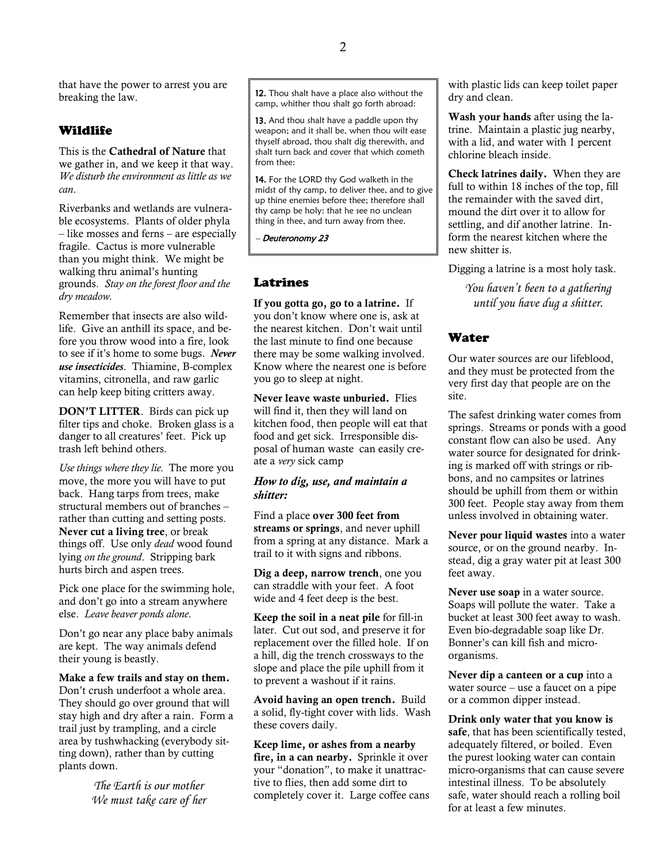that have the power to arrest you are breaking the law.

#### Wildlife

This is the **Cathedral of Nature** that we gather in, and we keep it that way. *We disturb the environment as little as we can*.

Riverbanks and wetlands are vulnerable ecosystems. Plants of older phyla – like mosses and ferns – are especially fragile. Cactus is more vulnerable than you might think. We might be walking thru animal's hunting grounds. *Stay on the forest floor and the dry meadow.*

Remember that insects are also wildlife. Give an anthill its space, and before you throw wood into a fire, look to see if it's home to some bugs. *Never use insecticides*. Thiamine, B-complex vitamins, citronella, and raw garlic can help keep biting critters away.

**DON'T LITTER**. Birds can pick up filter tips and choke. Broken glass is a danger to all creatures' feet. Pick up trash left behind others.

*Use things where they lie.* The more you move, the more you will have to put back. Hang tarps from trees, make structural members out of branches – rather than cutting and setting posts. **Never cut a living tree**, or break things off. Use only *dead* wood found lying *on the ground*. Stripping bark hurts birch and aspen trees.

Pick one place for the swimming hole, and don't go into a stream anywhere else. *Leave beaver ponds alone*.

Don't go near any place baby animals are kept. The way animals defend their young is beastly.

#### **Make a few trails and stay on them.**

Don't crush underfoot a whole area. They should go over ground that will stay high and dry after a rain. Form a trail just by trampling, and a circle area by tushwhacking (everybody sitting down), rather than by cutting plants down.

> *The Earth is our mother We must take care of her*

12. Thou shalt have a place also without the camp, whither thou shalt go forth abroad:

13. And thou shalt have a paddle upon thy weapon; and it shall be, when thou wilt ease thyself abroad, thou shalt dig therewith, and shalt turn back and cover that which cometh from thee:

14. For the LORD thy God walketh in the midst of thy camp, to deliver thee, and to give up thine enemies before thee; therefore shall thy camp be holy: that he see no unclean thing in thee, and turn away from thee.

– Deuteronomy 23

#### Latrines

**If you gotta go, go to a latrine.** If you don't know where one is, ask at the nearest kitchen. Don't wait until the last minute to find one because there may be some walking involved. Know where the nearest one is before you go to sleep at night.

**Never leave waste unburied.** Flies will find it, then they will land on kitchen food, then people will eat that food and get sick. Irresponsible disposal of human waste can easily create a *very* sick camp

#### *How to dig, use, and maintain a shitter:*

Find a place **over 300 feet from streams or springs**, and never uphill from a spring at any distance. Mark a trail to it with signs and ribbons.

**Dig a deep, narrow trench**, one you can straddle with your feet. A foot wide and 4 feet deep is the best.

**Keep the soil in a neat pile** for fill-in later. Cut out sod, and preserve it for replacement over the filled hole. If on a hill, dig the trench crossways to the slope and place the pile uphill from it to prevent a washout if it rains.

**Avoid having an open trench.** Build a solid, fly-tight cover with lids. Wash these covers daily.

**Keep lime, or ashes from a nearby fire, in a can nearby.** Sprinkle it over your "donation", to make it unattractive to flies, then add some dirt to completely cover it. Large coffee cans with plastic lids can keep toilet paper dry and clean.

**Wash your hands** after using the latrine. Maintain a plastic jug nearby, with a lid, and water with 1 percent chlorine bleach inside.

**Check latrines daily.** When they are full to within 18 inches of the top, fill the remainder with the saved dirt, mound the dirt over it to allow for settling, and dif another latrine. Inform the nearest kitchen where the new shitter is.

Digging a latrine is a most holy task.

*You haven't been to a gathering until you have dug a shitter.*

#### Water

Our water sources are our lifeblood, and they must be protected from the very first day that people are on the site.

The safest drinking water comes from springs. Streams or ponds with a good constant flow can also be used. Any water source for designated for drinking is marked off with strings or ribbons, and no campsites or latrines should be uphill from them or within 300 feet. People stay away from them unless involved in obtaining water.

**Never pour liquid wastes** into a water source, or on the ground nearby. Instead, dig a gray water pit at least 300 feet away.

**Never use soap** in a water source. Soaps will pollute the water. Take a bucket at least 300 feet away to wash. Even bio-degradable soap like Dr. Bonner's can kill fish and microorganisms.

**Never dip a canteen or a cup** into a water source – use a faucet on a pipe or a common dipper instead.

**Drink only water that you know is safe**, that has been scientifically tested, adequately filtered, or boiled. Even the purest looking water can contain micro-organisms that can cause severe intestinal illness. To be absolutely safe, water should reach a rolling boil for at least a few minutes.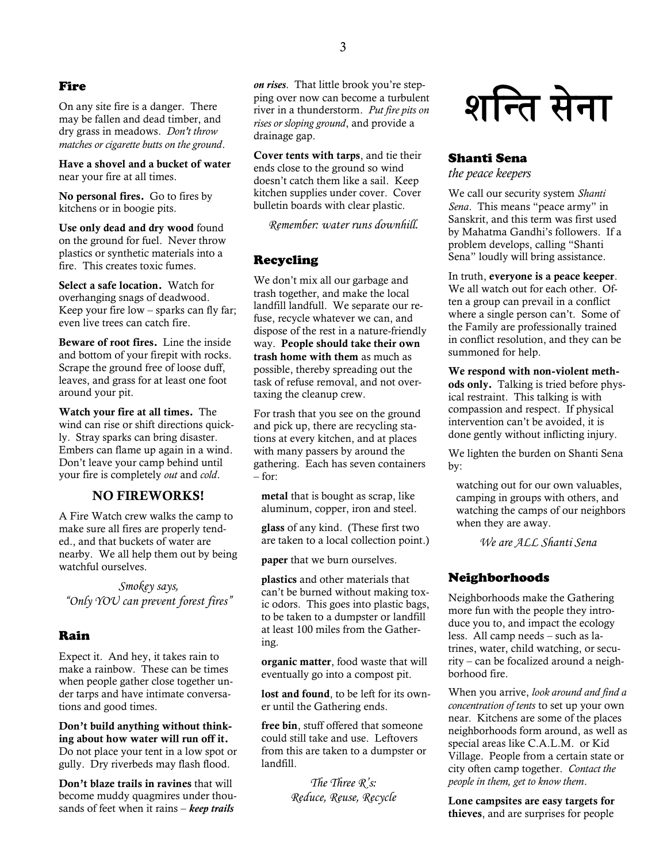#### Fire

On any site fire is a danger. There may be fallen and dead timber, and dry grass in meadows. *Don't throw matches or cigarette butts on the ground*.

**Have a shovel and a bucket of water** near your fire at all times.

**No personal fires.** Go to fires by kitchens or in boogie pits.

**Use only dead and dry wood** found on the ground for fuel. Never throw plastics or synthetic materials into a fire. This creates toxic fumes.

**Select a safe location.** Watch for overhanging snags of deadwood. Keep your fire low – sparks can fly far; even live trees can catch fire.

**Beware of root fires.** Line the inside and bottom of your firepit with rocks. Scrape the ground free of loose duff, leaves, and grass for at least one foot around your pit.

**Watch your fire at all times.** The wind can rise or shift directions quickly. Stray sparks can bring disaster. Embers can flame up again in a wind. Don't leave your camp behind until your fire is completely *out* and *cold*.

#### **NO FIREWORKS!**

A Fire Watch crew walks the camp to make sure all fires are properly tended., and that buckets of water are nearby. We all help them out by being watchful ourselves.

*Smokey says, "Only YOU can prevent forest fires"*

#### Rain

Expect it. And hey, it takes rain to make a rainbow. These can be times when people gather close together under tarps and have intimate conversations and good times.

**Don't build anything without thinking about how water will run off it.** Do not place your tent in a low spot or gully. Dry riverbeds may flash flood.

**Don't blaze trails in ravines** that will become muddy quagmires under thousands of feet when it rains – *keep trails* 

*on rises*. That little brook you're stepping over now can become a turbulent river in a thunderstorm. *Put fire pits on rises or sloping ground*, and provide a drainage gap.

**Cover tents with tarps**, and tie their ends close to the ground so wind doesn't catch them like a sail. Keep kitchen supplies under cover. Cover bulletin boards with clear plastic.

*Remember: water runs downhill.*

#### Recycling

We don't mix all our garbage and trash together, and make the local landfill landfull. We separate our refuse, recycle whatever we can, and dispose of the rest in a nature-friendly way. **People should take their own trash home with them** as much as possible, thereby spreading out the task of refuse removal, and not overtaxing the cleanup crew.

For trash that you see on the ground and pick up, there are recycling stations at every kitchen, and at places with many passers by around the gathering. Each has seven containers  $-$  for:

**metal** that is bought as scrap, like aluminum, copper, iron and steel.

**glass** of any kind. (These first two are taken to a local collection point.)

**paper** that we burn ourselves.

**plastics** and other materials that can't be burned without making toxic odors. This goes into plastic bags, to be taken to a dumpster or landfill at least 100 miles from the Gathering.

**organic matter**, food waste that will eventually go into a compost pit.

**lost and found**, to be left for its owner until the Gathering ends.

**free bin**, stuff offered that someone could still take and use. Leftovers from this are taken to a dumpster or landfill.

> *The Three R's: Reduce, Reuse, Recycle*

शन्ति सेना

### Shanti Sena

*the peace keepers*

We call our security system *Shanti Sena*. This means "peace army" in Sanskrit, and this term was first used by Mahatma Gandhi's followers. If a problem develops, calling "Shanti Sena" loudly will bring assistance.

In truth, **everyone is a peace keeper**. We all watch out for each other. Often a group can prevail in a conflict where a single person can't. Some of the Family are professionally trained in conflict resolution, and they can be summoned for help.

**We respond with non-violent meth-**

**ods only.** Talking is tried before physical restraint. This talking is with compassion and respect. If physical intervention can't be avoided, it is done gently without inflicting injury.

We lighten the burden on Shanti Sena by:

watching out for our own valuables, camping in groups with others, and watching the camps of our neighbors when they are away.

*We are ALL Shanti Sena*

#### Neighborhoods

Neighborhoods make the Gathering more fun with the people they introduce you to, and impact the ecology less. All camp needs – such as latrines, water, child watching, or security – can be focalized around a neighborhood fire.

When you arrive, *look around and find a concentration of tents* to set up your own near. Kitchens are some of the places neighborhoods form around, as well as special areas like C.A.L.M. or Kid Village. People from a certain state or city often camp together. *Contact the people in them, get to know them*.

**Lone campsites are easy targets for thieves**, and are surprises for people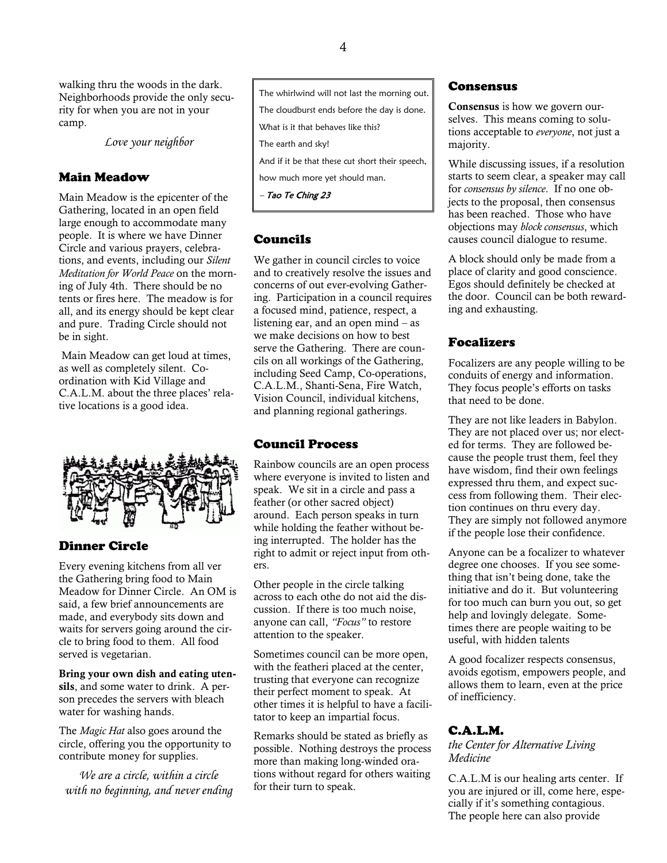walking thru the woods in the dark. Neighborhoods provide the only security for when you are not in your camp.

*Love your neighbor*

### Main Meadow

Main Meadow is the epicenter of the Gathering, located in an open field large enough to accommodate many people. It is where we have Dinner Circle and various prayers, celebrations, and events, including our *Silent Meditation for World Peace* on the morning of July 4th. There should be no tents or fires here. The meadow is for all, and its energy should be kept clear and pure. Trading Circle should not be in sight.

Main Meadow can get loud at times, as well as completely silent. Coordination with Kid Village and C.A.L.M. about the three places' relative locations is a good idea.



## Dinner Circle

Every evening kitchens from all ver the Gathering bring food to Main Meadow for Dinner Circle. An OM is said, a few brief announcements are made, and everybody sits down and waits for servers going around the circle to bring food to them. All food served is vegetarian.

**Bring your own dish and eating utensils**, and some water to drink. A person precedes the servers with bleach water for washing hands.

The *Magic Hat* also goes around the circle, offering you the opportunity to contribute money for supplies.

*We are a circle, within a circle with no beginning, and never ending* The whirlwind will not last the morning out. The cloudburst ends before the day is done. What is it that behaves like this? The earth and sky! And if it be that these cut short their speech, how much more yet should man.

– Tao Te Ching 23

# Councils

We gather in council circles to voice and to creatively resolve the issues and concerns of out ever-evolving Gathering. Participation in a council requires a focused mind, patience, respect, a listening ear, and an open mind – as we make decisions on how to best serve the Gathering. There are councils on all workings of the Gathering, including Seed Camp, Co-operations, C.A.L.M., Shanti-Sena, Fire Watch, Vision Council, individual kitchens, and planning regional gatherings.

## Council Process

Rainbow councils are an open process where everyone is invited to listen and speak. We sit in a circle and pass a feather (or other sacred object) around. Each person speaks in turn while holding the feather without being interrupted. The holder has the right to admit or reject input from others.

Other people in the circle talking across to each othe do not aid the discussion. If there is too much noise, anyone can call, *"Focus"* to restore attention to the speaker.

Sometimes council can be more open, with the featheri placed at the center, trusting that everyone can recognize their perfect moment to speak. At other times it is helpful to have a facilitator to keep an impartial focus.

Remarks should be stated as briefly as possible. Nothing destroys the process more than making long-winded orations without regard for others waiting for their turn to speak.

## Consensus

**Consensus** is how we govern ourselves. This means coming to solutions acceptable to *everyone*, not just a majority.

While discussing issues, if a resolution starts to seem clear, a speaker may call for *consensus by silence*. If no one objects to the proposal, then consensus has been reached. Those who have objections may *block consensus*, which causes council dialogue to resume.

A block should only be made from a place of clarity and good conscience. Egos should definitely be checked at the door. Council can be both rewarding and exhausting.

## Focalizers

Focalizers are any people willing to be conduits of energy and information. They focus people's efforts on tasks that need to be done.

They are not like leaders in Babylon. They are not placed over us; nor elected for terms. They are followed because the people trust them, feel they have wisdom, find their own feelings expressed thru them, and expect success from following them. Their election continues on thru every day. They are simply not followed anymore if the people lose their confidence.

Anyone can be a focalizer to whatever degree one chooses. If you see something that isn't being done, take the initiative and do it. But volunteering for too much can burn you out, so get help and lovingly delegate. Sometimes there are people waiting to be useful, with hidden talents

A good focalizer respects consensus, avoids egotism, empowers people, and allows them to learn, even at the price of inefficiency.

## C.A.L.M.

*the Center for Alternative Living Medicine*

C.A.L.M is our healing arts center. If you are injured or ill, come here, especially if it's something contagious. The people here can also provide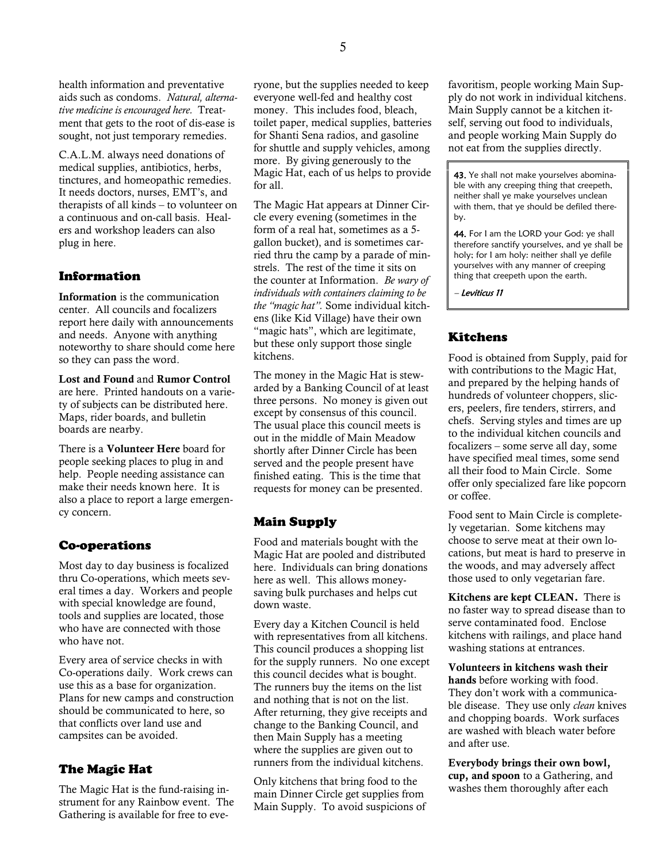health information and preventative aids such as condoms. *Natural, alternative medicine is encouraged here.* Treatment that gets to the root of dis-ease is sought, not just temporary remedies.

C.A.L.M. always need donations of medical supplies, antibiotics, herbs, tinctures, and homeopathic remedies. It needs doctors, nurses, EMT's, and therapists of all kinds – to volunteer on a continuous and on-call basis. Healers and workshop leaders can also plug in here.

### Information

**Information** is the communication center. All councils and focalizers report here daily with announcements and needs. Anyone with anything noteworthy to share should come here so they can pass the word.

**Lost and Found** and **Rumor Control** are here. Printed handouts on a variety of subjects can be distributed here. Maps, rider boards, and bulletin boards are nearby.

There is a **Volunteer Here** board for people seeking places to plug in and help. People needing assistance can make their needs known here. It is also a place to report a large emergency concern.

## Co-operations

Most day to day business is focalized thru Co-operations, which meets several times a day. Workers and people with special knowledge are found, tools and supplies are located, those who have are connected with those who have not.

Every area of service checks in with Co-operations daily. Work crews can use this as a base for organization. Plans for new camps and construction should be communicated to here, so that conflicts over land use and campsites can be avoided.

#### The Magic Hat

The Magic Hat is the fund-raising instrument for any Rainbow event. The Gathering is available for free to everyone, but the supplies needed to keep everyone well-fed and healthy cost money. This includes food, bleach, toilet paper, medical supplies, batteries for Shanti Sena radios, and gasoline for shuttle and supply vehicles, among more. By giving generously to the Magic Hat, each of us helps to provide for all.

The Magic Hat appears at Dinner Circle every evening (sometimes in the form of a real hat, sometimes as a 5 gallon bucket), and is sometimes carried thru the camp by a parade of minstrels. The rest of the time it sits on the counter at Information. *Be wary of individuals with containers claiming to be the "magic hat".* Some individual kitchens (like Kid Village) have their own "magic hats", which are legitimate, but these only support those single kitchens.

The money in the Magic Hat is stewarded by a Banking Council of at least three persons. No money is given out except by consensus of this council. The usual place this council meets is out in the middle of Main Meadow shortly after Dinner Circle has been served and the people present have finished eating. This is the time that requests for money can be presented.

## Main Supply

Food and materials bought with the Magic Hat are pooled and distributed here. Individuals can bring donations here as well. This allows moneysaving bulk purchases and helps cut down waste.

Every day a Kitchen Council is held with representatives from all kitchens. This council produces a shopping list for the supply runners. No one except this council decides what is bought. The runners buy the items on the list and nothing that is not on the list. After returning, they give receipts and change to the Banking Council, and then Main Supply has a meeting where the supplies are given out to runners from the individual kitchens.

Only kitchens that bring food to the main Dinner Circle get supplies from Main Supply. To avoid suspicions of favoritism, people working Main Supply do not work in individual kitchens. Main Supply cannot be a kitchen itself, serving out food to individuals, and people working Main Supply do not eat from the supplies directly.

43. Ye shall not make yourselves abominable with any creeping thing that creepeth, neither shall ye make yourselves unclean with them, that ye should be defiled thereby.

44. For I am the LORD your God: ye shall therefore sanctify yourselves, and ye shall be holy; for I am holy: neither shall ye defile yourselves with any manner of creeping thing that creepeth upon the earth.

– Leviticus 11

## Kitchens

Food is obtained from Supply, paid for with contributions to the Magic Hat, and prepared by the helping hands of hundreds of volunteer choppers, slicers, peelers, fire tenders, stirrers, and chefs. Serving styles and times are up to the individual kitchen councils and focalizers – some serve all day, some have specified meal times, some send all their food to Main Circle. Some offer only specialized fare like popcorn or coffee.

Food sent to Main Circle is completely vegetarian. Some kitchens may choose to serve meat at their own locations, but meat is hard to preserve in the woods, and may adversely affect those used to only vegetarian fare.

**Kitchens are kept CLEAN.** There is no faster way to spread disease than to serve contaminated food. Enclose kitchens with railings, and place hand washing stations at entrances.

**Volunteers in kitchens wash their hands** before working with food. They don't work with a communicable disease. They use only *clean* knives and chopping boards. Work surfaces are washed with bleach water before and after use.

**Everybody brings their own bowl, cup, and spoon** to a Gathering, and washes them thoroughly after each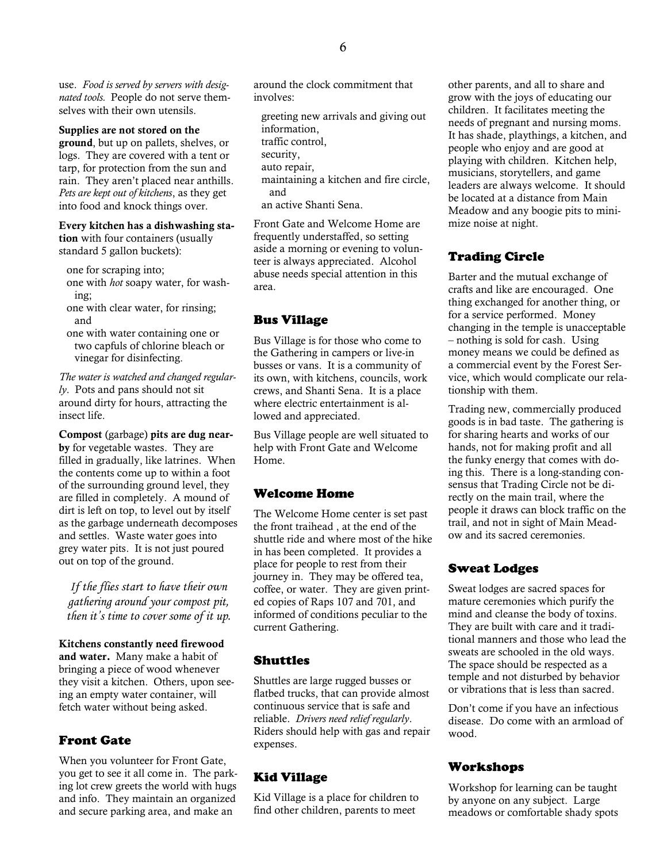use. *Food is served by servers with designated tools.* People do not serve themselves with their own utensils.

#### **Supplies are not stored on the**

**ground**, but up on pallets, shelves, or logs. They are covered with a tent or tarp, for protection from the sun and rain. They aren't placed near anthills. *Pets are kept out of kitchens*, as they get into food and knock things over.

#### **Every kitchen has a dishwashing sta-**

**tion** with four containers (usually standard 5 gallon buckets):

- one for scraping into;
- one with *hot* soapy water, for washing;
- one with clear water, for rinsing; and
- one with water containing one or two capfuls of chlorine bleach or vinegar for disinfecting.

*The water is watched and changed regularly*. Pots and pans should not sit around dirty for hours, attracting the insect life.

**Compost** (garbage) **pits are dug nearby** for vegetable wastes. They are filled in gradually, like latrines. When the contents come up to within a foot of the surrounding ground level, they are filled in completely. A mound of dirt is left on top, to level out by itself as the garbage underneath decomposes and settles. Waste water goes into grey water pits. It is not just poured out on top of the ground.

*If the flies start to have their own gathering around your compost pit, then it's time to cover some of it up.*

**Kitchens constantly need firewood and water.** Many make a habit of bringing a piece of wood whenever they visit a kitchen. Others, upon seeing an empty water container, will fetch water without being asked.

#### Front Gate

When you volunteer for Front Gate, you get to see it all come in. The parking lot crew greets the world with hugs and info. They maintain an organized and secure parking area, and make an

around the clock commitment that involves:

greeting new arrivals and giving out information, traffic control, security, auto repair, maintaining a kitchen and fire circle, and an active Shanti Sena.

Front Gate and Welcome Home are frequently understaffed, so setting aside a morning or evening to volunteer is always appreciated. Alcohol abuse needs special attention in this area.

#### Bus Village

Bus Village is for those who come to the Gathering in campers or live-in busses or vans. It is a community of its own, with kitchens, councils, work crews, and Shanti Sena. It is a place where electric entertainment is allowed and appreciated.

Bus Village people are well situated to help with Front Gate and Welcome Home.

#### Welcome Home

The Welcome Home center is set past the front traihead , at the end of the shuttle ride and where most of the hike in has been completed. It provides a place for people to rest from their journey in. They may be offered tea, coffee, or water. They are given printed copies of Raps 107 and 701, and informed of conditions peculiar to the current Gathering.

#### Shuttles

Shuttles are large rugged busses or flatbed trucks, that can provide almost continuous service that is safe and reliable. *Drivers need relief regularly*. Riders should help with gas and repair expenses.

#### Kid Village

Kid Village is a place for children to find other children, parents to meet

other parents, and all to share and grow with the joys of educating our children. It facilitates meeting the needs of pregnant and nursing moms. It has shade, playthings, a kitchen, and people who enjoy and are good at playing with children. Kitchen help, musicians, storytellers, and game leaders are always welcome. It should be located at a distance from Main Meadow and any boogie pits to minimize noise at night.

#### Trading Circle

Barter and the mutual exchange of crafts and like are encouraged. One thing exchanged for another thing, or for a service performed. Money changing in the temple is unacceptable – nothing is sold for cash. Using money means we could be defined as a commercial event by the Forest Service, which would complicate our relationship with them.

Trading new, commercially produced goods is in bad taste. The gathering is for sharing hearts and works of our hands, not for making profit and all the funky energy that comes with doing this. There is a long-standing consensus that Trading Circle not be directly on the main trail, where the people it draws can block traffic on the trail, and not in sight of Main Meadow and its sacred ceremonies.

#### Sweat Lodges

Sweat lodges are sacred spaces for mature ceremonies which purify the mind and cleanse the body of toxins. They are built with care and it traditional manners and those who lead the sweats are schooled in the old ways. The space should be respected as a temple and not disturbed by behavior or vibrations that is less than sacred.

Don't come if you have an infectious disease. Do come with an armload of wood.

#### Workshops

Workshop for learning can be taught by anyone on any subject. Large meadows or comfortable shady spots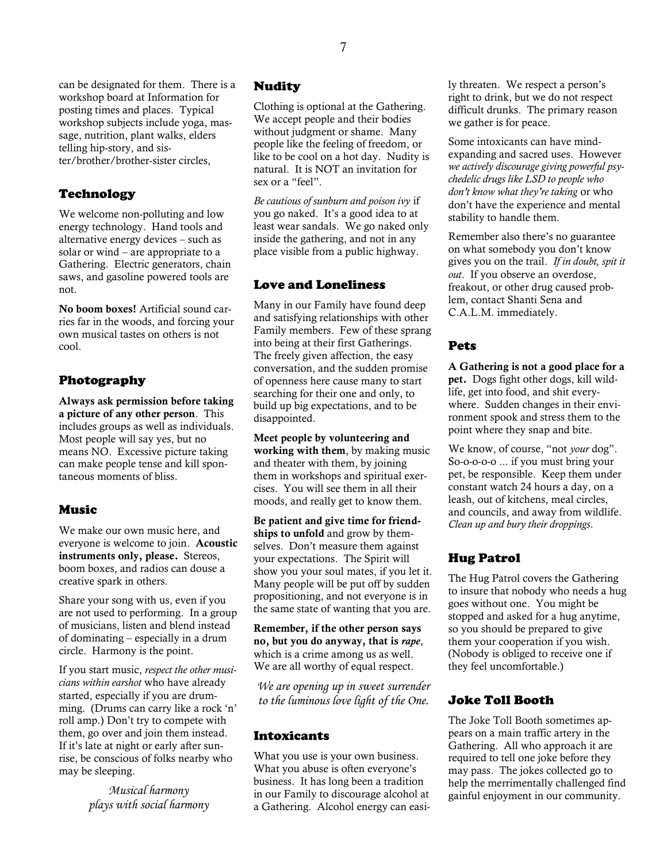can be designated for them. There is a workshop board at Information for posting times and places. Typical workshop subjects include yoga, massage, nutrition, plant walks, elders telling hip-story, and sister/brother/brother-sister circles,

### Technology

We welcome non-polluting and low energy technology. Hand tools and alternative energy devices – such as solar or wind – are appropriate to a Gathering. Electric generators, chain saws, and gasoline powered tools are not.

**No boom boxes!** Artificial sound carries far in the woods, and forcing your own musical tastes on others is not cool.

## Photography

**Always ask permission before taking a picture of any other person**. This includes groups as well as individuals. Most people will say yes, but no means NO. Excessive picture taking can make people tense and kill spontaneous moments of bliss.

## Music

We make our own music here, and everyone is welcome to join. **Acoustic instruments only, please.** Stereos, boom boxes, and radios can douse a creative spark in others.

Share your song with us, even if you are not used to performing. In a group of musicians, listen and blend instead of dominating – especially in a drum circle. Harmony is the point.

If you start music, *respect the other musicians within earshot* who have already started, especially if you are drumming. (Drums can carry like a rock 'n' roll amp.) Don't try to compete with them, go over and join them instead. If it's late at night or early after sunrise, be conscious of folks nearby who may be sleeping.

> *Musical harmony plays with social harmony*

## Nudity

Clothing is optional at the Gathering. We accept people and their bodies without judgment or shame. Many people like the feeling of freedom, or like to be cool on a hot day. Nudity is natural. It is NOT an invitation for sex or a "feel".

*Be cautious of sunburn and poison ivy* if you go naked. It's a good idea to at least wear sandals. We go naked only inside the gathering, and not in any place visible from a public highway.

## Love and Loneliness

Many in our Family have found deep and satisfying relationships with other Family members. Few of these sprang into being at their first Gatherings. The freely given affection, the easy conversation, and the sudden promise of openness here cause many to start searching for their one and only, to build up big expectations, and to be disappointed.

**Meet people by volunteering and working with them**, by making music and theater with them, by joining them in workshops and spiritual exercises. You will see them in all their moods, and really get to know them.

**Be patient and give time for friendships to unfold** and grow by themselves. Don't measure them against your expectations. The Spirit will show you your soul mates, if you let it. Many people will be put off by sudden propositioning, and not everyone is in the same state of wanting that you are.

**Remember, if the other person says no, but you do anyway, that is** *rape*, which is a crime among us as well. We are all worthy of equal respect.

*We are opening up in sweet surrender to the luminous love light of the One.*

## **Intoxicants**

What you use is your own business. What you abuse is often everyone's business. It has long been a tradition in our Family to discourage alcohol at a Gathering. Alcohol energy can easily threaten. We respect a person's right to drink, but we do not respect difficult drunks. The primary reason we gather is for peace.

Some intoxicants can have mindexpanding and sacred uses. However *we actively discourage giving powerful psychedelic drugs like LSD to people who don't know what they're taking* or who don't have the experience and mental stability to handle them.

Remember also there's no guarantee on what somebody you don't know gives you on the trail. *If in doubt, spit it out*. If you observe an overdose, freakout, or other drug caused problem, contact Shanti Sena and C.A.L.M. immediately.

## Pets

**A Gathering is not a good place for a pet.** Dogs fight other dogs, kill wildlife, get into food, and shit everywhere. Sudden changes in their environment spook and stress them to the point where they snap and bite.

We know, of course, "not *your* dog". So-o-o-o-o ... if you must bring your pet, be responsible. Keep them under constant watch 24 hours a day, on a leash, out of kitchens, meal circles, and councils, and away from wildlife. *Clean up and bury their droppings*.

# Hug Patrol

The Hug Patrol covers the Gathering to insure that nobody who needs a hug goes without one. You might be stopped and asked for a hug anytime, so you should be prepared to give them your cooperation if you wish. (Nobody is obliged to receive one if they feel uncomfortable.)

## Joke Toll Booth

The Joke Toll Booth sometimes appears on a main traffic artery in the Gathering. All who approach it are required to tell one joke before they may pass. The jokes collected go to help the merrimentally challenged find gainful enjoyment in our community.